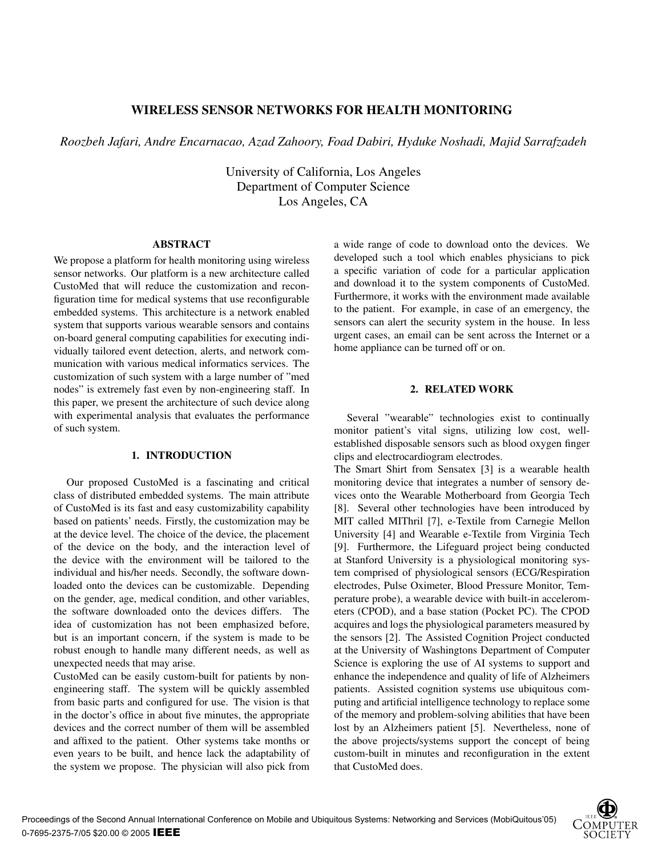# WIRELESS SENSOR NETWORKS FOR HEALTH MONITORING

*Roozbeh Jafari, Andre Encarnacao, Azad Zahoory, Foad Dabiri, Hyduke Noshadi, Majid Sarrafzadeh*

University of California, Los Angeles Department of Computer Science Los Angeles, CA

## ABSTRACT

We propose a platform for health monitoring using wireless sensor networks. Our platform is a new architecture called CustoMed that will reduce the customization and reconfiguration time for medical systems that use reconfigurable embedded systems. This architecture is a network enabled system that supports various wearable sensors and contains on-board general computing capabilities for executing individually tailored event detection, alerts, and network communication with various medical informatics services. The customization of such system with a large number of "med nodes" is extremely fast even by non-engineering staff. In this paper, we present the architecture of such device along with experimental analysis that evaluates the performance of such system.

# 1. INTRODUCTION

Our proposed CustoMed is a fascinating and critical class of distributed embedded systems. The main attribute of CustoMed is its fast and easy customizability capability based on patients' needs. Firstly, the customization may be at the device level. The choice of the device, the placement of the device on the body, and the interaction level of the device with the environment will be tailored to the individual and his/her needs. Secondly, the software downloaded onto the devices can be customizable. Depending on the gender, age, medical condition, and other variables, the software downloaded onto the devices differs. The idea of customization has not been emphasized before, but is an important concern, if the system is made to be robust enough to handle many different needs, as well as unexpected needs that may arise.

CustoMed can be easily custom-built for patients by nonengineering staff. The system will be quickly assembled from basic parts and configured for use. The vision is that in the doctor's office in about five minutes, the appropriate devices and the correct number of them will be assembled and affixed to the patient. Other systems take months or even years to be built, and hence lack the adaptability of the system we propose. The physician will also pick from a wide range of code to download onto the devices. We developed such a tool which enables physicians to pick a specific variation of code for a particular application and download it to the system components of CustoMed. Furthermore, it works with the environment made available to the patient. For example, in case of an emergency, the sensors can alert the security system in the house. In less urgent cases, an email can be sent across the Internet or a home appliance can be turned off or on.

#### 2. RELATED WORK

Several "wearable" technologies exist to continually monitor patient's vital signs, utilizing low cost, wellestablished disposable sensors such as blood oxygen finger clips and electrocardiogram electrodes.

The Smart Shirt from Sensatex [3] is a wearable health monitoring device that integrates a number of sensory devices onto the Wearable Motherboard from Georgia Tech [8]. Several other technologies have been introduced by MIT called MIThril [7], e-Textile from Carnegie Mellon University [4] and Wearable e-Textile from Virginia Tech [9]. Furthermore, the Lifeguard project being conducted at Stanford University is a physiological monitoring system comprised of physiological sensors (ECG/Respiration electrodes, Pulse Oximeter, Blood Pressure Monitor, Temperature probe), a wearable device with built-in accelerometers (CPOD), and a base station (Pocket PC). The CPOD acquires and logs the physiological parameters measured by the sensors [2]. The Assisted Cognition Project conducted at the University of Washingtons Department of Computer Science is exploring the use of AI systems to support and enhance the independence and quality of life of Alzheimers patients. Assisted cognition systems use ubiquitous computing and artificial intelligence technology to replace some of the memory and problem-solving abilities that have been lost by an Alzheimers patient [5]. Nevertheless, none of the above projects/systems support the concept of being custom-built in minutes and reconfiguration in the extent that CustoMed does.

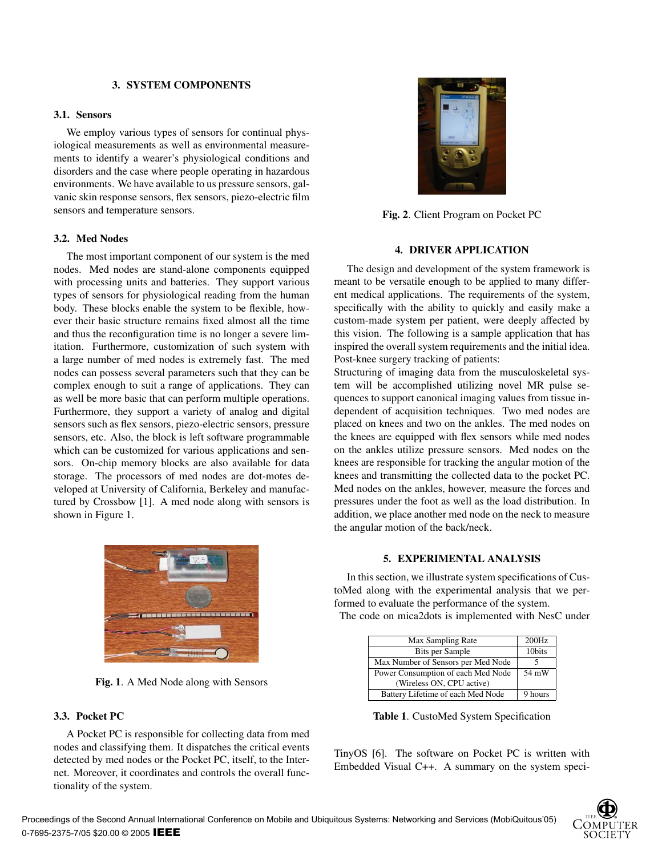### 3. SYSTEM COMPONENTS

# 3.1. Sensors

We employ various types of sensors for continual physiological measurements as well as environmental measurements to identify a wearer's physiological conditions and disorders and the case where people operating in hazardous environments. We have available to us pressure sensors, galvanic skin response sensors, flex sensors, piezo-electric film sensors and temperature sensors.

# 3.2. Med Nodes

The most important component of our system is the med nodes. Med nodes are stand-alone components equipped with processing units and batteries. They support various types of sensors for physiological reading from the human body. These blocks enable the system to be flexible, however their basic structure remains fixed almost all the time and thus the reconfiguration time is no longer a severe limitation. Furthermore, customization of such system with a large number of med nodes is extremely fast. The med nodes can possess several parameters such that they can be complex enough to suit a range of applications. They can as well be more basic that can perform multiple operations. Furthermore, they support a variety of analog and digital sensors such as flex sensors, piezo-electric sensors, pressure sensors, etc. Also, the block is left software programmable which can be customized for various applications and sensors. On-chip memory blocks are also available for data storage. The processors of med nodes are dot-motes developed at University of California, Berkeley and manufactured by Crossbow [1]. A med node along with sensors is shown in Figure 1.



Fig. 1. A Med Node along with Sensors

### 3.3. Pocket PC

A Pocket PC is responsible for collecting data from med nodes and classifying them. It dispatches the critical events detected by med nodes or the Pocket PC, itself, to the Internet. Moreover, it coordinates and controls the overall functionality of the system.



Fig. 2. Client Program on Pocket PC

# 4. DRIVER APPLICATION

The design and development of the system framework is meant to be versatile enough to be applied to many different medical applications. The requirements of the system, specifically with the ability to quickly and easily make a custom-made system per patient, were deeply affected by this vision. The following is a sample application that has inspired the overall system requirements and the initial idea. Post-knee surgery tracking of patients:

Structuring of imaging data from the musculoskeletal system will be accomplished utilizing novel MR pulse sequences to support canonical imaging values from tissue independent of acquisition techniques. Two med nodes are placed on knees and two on the ankles. The med nodes on the knees are equipped with flex sensors while med nodes on the ankles utilize pressure sensors. Med nodes on the knees are responsible for tracking the angular motion of the knees and transmitting the collected data to the pocket PC. Med nodes on the ankles, however, measure the forces and pressures under the foot as well as the load distribution. In addition, we place another med node on the neck to measure the angular motion of the back/neck.

#### 5. EXPERIMENTAL ANALYSIS

In this section, we illustrate system specifications of CustoMed along with the experimental analysis that we performed to evaluate the performance of the system.

The code on mica2dots is implemented with NesC under

| Max Sampling Rate                  | 200Hz   |
|------------------------------------|---------|
| Bits per Sample                    | 10bits  |
| Max Number of Sensors per Med Node |         |
| Power Consumption of each Med Node | 54 mW   |
| (Wireless ON, CPU active)          |         |
| Battery Lifetime of each Med Node  | 9 hours |

Table 1. CustoMed System Specification

TinyOS [6]. The software on Pocket PC is written with Embedded Visual C++. A summary on the system speci-